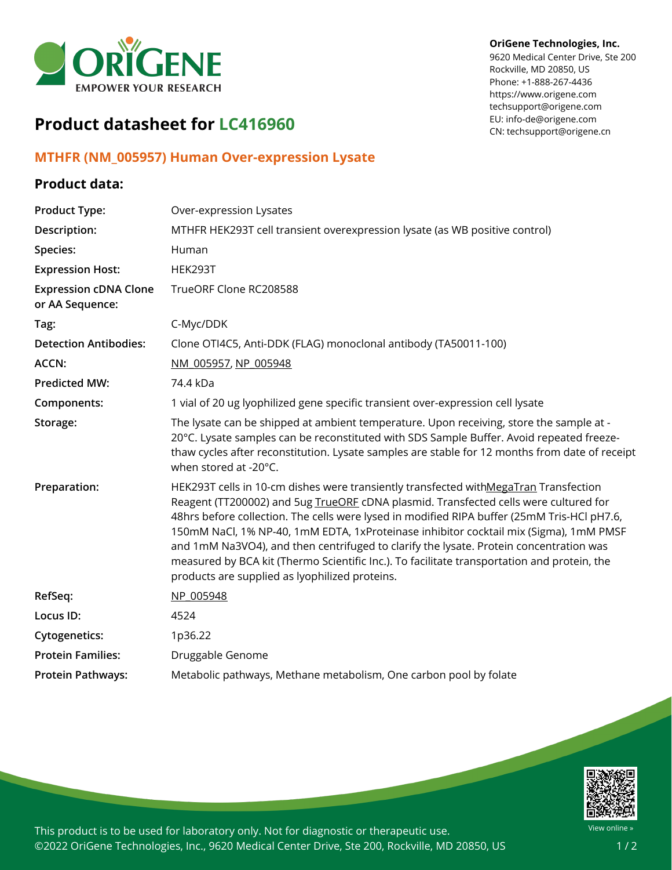

#### **OriGene Technologies, Inc.**

9620 Medical Center Drive, Ste 200 Rockville, MD 20850, US Phone: +1-888-267-4436 https://www.origene.com techsupport@origene.com EU: info-de@origene.com CN: techsupport@origene.cn

# **Product datasheet for LC416960**

### **MTHFR (NM\_005957) Human Over-expression Lysate**

### **Product data:**

| MTHFR HEK293T cell transient overexpression lysate (as WB positive control)                                                                                                                                                                                                                                                                                                                                                                                                                                                                                   |
|---------------------------------------------------------------------------------------------------------------------------------------------------------------------------------------------------------------------------------------------------------------------------------------------------------------------------------------------------------------------------------------------------------------------------------------------------------------------------------------------------------------------------------------------------------------|
|                                                                                                                                                                                                                                                                                                                                                                                                                                                                                                                                                               |
|                                                                                                                                                                                                                                                                                                                                                                                                                                                                                                                                                               |
|                                                                                                                                                                                                                                                                                                                                                                                                                                                                                                                                                               |
|                                                                                                                                                                                                                                                                                                                                                                                                                                                                                                                                                               |
| Clone OTI4C5, Anti-DDK (FLAG) monoclonal antibody (TA50011-100)                                                                                                                                                                                                                                                                                                                                                                                                                                                                                               |
|                                                                                                                                                                                                                                                                                                                                                                                                                                                                                                                                                               |
|                                                                                                                                                                                                                                                                                                                                                                                                                                                                                                                                                               |
| 1 vial of 20 ug lyophilized gene specific transient over-expression cell lysate                                                                                                                                                                                                                                                                                                                                                                                                                                                                               |
| The lysate can be shipped at ambient temperature. Upon receiving, store the sample at -<br>20°C. Lysate samples can be reconstituted with SDS Sample Buffer. Avoid repeated freeze-<br>thaw cycles after reconstitution. Lysate samples are stable for 12 months from date of receipt                                                                                                                                                                                                                                                                         |
| HEK293T cells in 10-cm dishes were transiently transfected withMegaTran Transfection<br>Reagent (TT200002) and 5ug TrueORE cDNA plasmid. Transfected cells were cultured for<br>48hrs before collection. The cells were lysed in modified RIPA buffer (25mM Tris-HCl pH7.6,<br>150mM NaCl, 1% NP-40, 1mM EDTA, 1xProteinase inhibitor cocktail mix (Sigma), 1mM PMSF<br>and 1mM Na3VO4), and then centrifuged to clarify the lysate. Protein concentration was<br>measured by BCA kit (Thermo Scientific Inc.). To facilitate transportation and protein, the |
|                                                                                                                                                                                                                                                                                                                                                                                                                                                                                                                                                               |
|                                                                                                                                                                                                                                                                                                                                                                                                                                                                                                                                                               |
|                                                                                                                                                                                                                                                                                                                                                                                                                                                                                                                                                               |
|                                                                                                                                                                                                                                                                                                                                                                                                                                                                                                                                                               |
| Metabolic pathways, Methane metabolism, One carbon pool by folate                                                                                                                                                                                                                                                                                                                                                                                                                                                                                             |
|                                                                                                                                                                                                                                                                                                                                                                                                                                                                                                                                                               |



This product is to be used for laboratory only. Not for diagnostic or therapeutic use. ©2022 OriGene Technologies, Inc., 9620 Medical Center Drive, Ste 200, Rockville, MD 20850, US